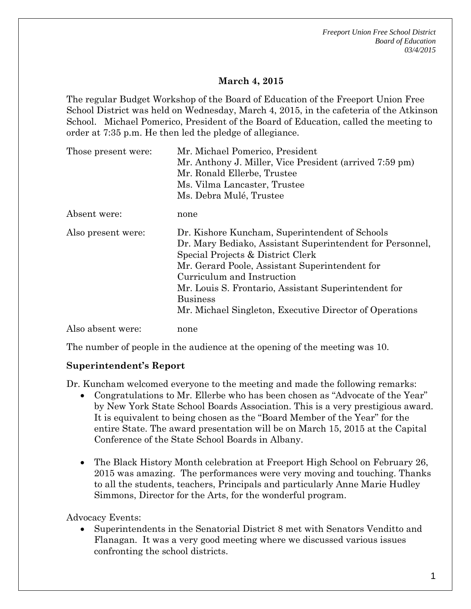*Freeport Union Free School District Board of Education 03/4/2015* 

### **March 4, 2015**

The regular Budget Workshop of the Board of Education of the Freeport Union Free School District was held on Wednesday, March 4, 2015, in the cafeteria of the Atkinson School. Michael Pomerico, President of the Board of Education, called the meeting to order at 7:35 p.m. He then led the pledge of allegiance.

| Those present were: | Mr. Michael Pomerico, President                           |
|---------------------|-----------------------------------------------------------|
|                     | Mr. Anthony J. Miller, Vice President (arrived 7:59 pm)   |
|                     | Mr. Ronald Ellerbe, Trustee                               |
|                     | Ms. Vilma Lancaster, Trustee                              |
|                     | Ms. Debra Mulé, Trustee                                   |
| Absent were:        | none                                                      |
| Also present were:  | Dr. Kishore Kuncham, Superintendent of Schools            |
|                     | Dr. Mary Bediako, Assistant Superintendent for Personnel, |
|                     | Special Projects & District Clerk                         |
|                     | Mr. Gerard Poole, Assistant Superintendent for            |
|                     | Curriculum and Instruction                                |
|                     | Mr. Louis S. Frontario, Assistant Superintendent for      |
|                     | <b>Business</b>                                           |
|                     | Mr. Michael Singleton, Executive Director of Operations   |
| Also absent were:   | none                                                      |

The number of people in the audience at the opening of the meeting was 10.

#### **Superintendent's Report**

Dr. Kuncham welcomed everyone to the meeting and made the following remarks:

- Congratulations to Mr. Ellerbe who has been chosen as "Advocate of the Year" by New York State School Boards Association. This is a very prestigious award. It is equivalent to being chosen as the "Board Member of the Year" for the entire State. The award presentation will be on March 15, 2015 at the Capital Conference of the State School Boards in Albany.
- The Black History Month celebration at Freeport High School on February 26, 2015 was amazing. The performances were very moving and touching. Thanks to all the students, teachers, Principals and particularly Anne Marie Hudley Simmons, Director for the Arts, for the wonderful program.

Advocacy Events:

 Superintendents in the Senatorial District 8 met with Senators Venditto and Flanagan. It was a very good meeting where we discussed various issues confronting the school districts.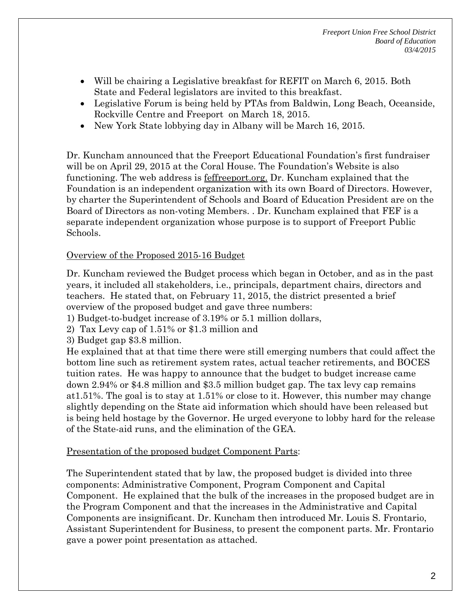*Freeport Union Free School District Board of Education 03/4/2015* 

- Will be chairing a Legislative breakfast for REFIT on March 6, 2015. Both State and Federal legislators are invited to this breakfast.
- Legislative Forum is being held by PTAs from Baldwin, Long Beach, Oceanside, Rockville Centre and Freeport on March 18, 2015.
- New York State lobbying day in Albany will be March 16, 2015.

Dr. Kuncham announced that the Freeport Educational Foundation's first fundraiser will be on April 29, 2015 at the Coral House. The Foundation's Website is also functioning. The web address is feffreeport.org. Dr. Kuncham explained that the Foundation is an independent organization with its own Board of Directors. However, by charter the Superintendent of Schools and Board of Education President are on the Board of Directors as non-voting Members. . Dr. Kuncham explained that FEF is a separate independent organization whose purpose is to support of Freeport Public Schools.

### Overview of the Proposed 2015-16 Budget

Dr. Kuncham reviewed the Budget process which began in October, and as in the past years, it included all stakeholders, i.e., principals, department chairs, directors and teachers. He stated that, on February 11, 2015, the district presented a brief overview of the proposed budget and gave three numbers:

- 1) Budget-to-budget increase of 3.19% or 5.1 million dollars,
- 2) Tax Levy cap of 1.51% or \$1.3 million and
- 3) Budget gap \$3.8 million.

He explained that at that time there were still emerging numbers that could affect the bottom line such as retirement system rates, actual teacher retirements, and BOCES tuition rates. He was happy to announce that the budget to budget increase came down 2.94% or \$4.8 million and \$3.5 million budget gap. The tax levy cap remains at1.51%. The goal is to stay at 1.51% or close to it. However, this number may change slightly depending on the State aid information which should have been released but is being held hostage by the Governor. He urged everyone to lobby hard for the release of the State-aid runs, and the elimination of the GEA.

#### Presentation of the proposed budget Component Parts:

The Superintendent stated that by law, the proposed budget is divided into three components: Administrative Component, Program Component and Capital Component. He explained that the bulk of the increases in the proposed budget are in the Program Component and that the increases in the Administrative and Capital Components are insignificant. Dr. Kuncham then introduced Mr. Louis S. Frontario, Assistant Superintendent for Business, to present the component parts. Mr. Frontario gave a power point presentation as attached.